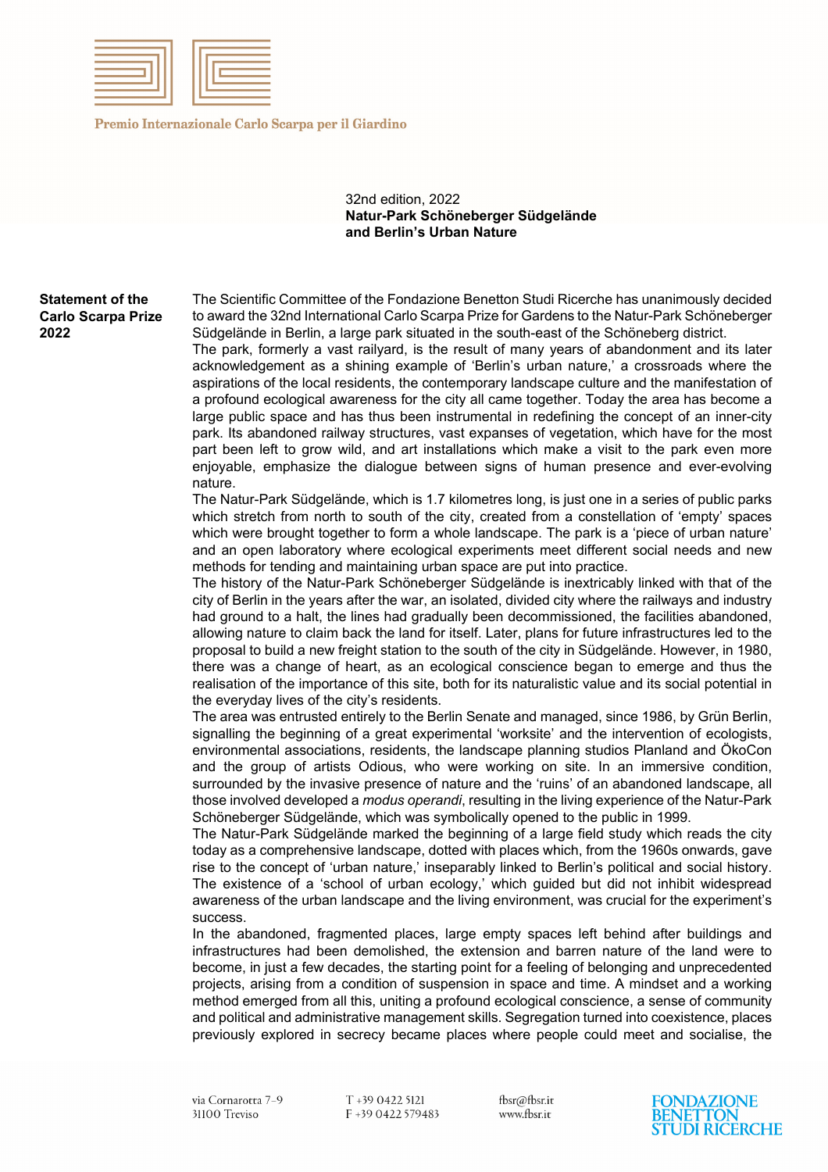Premio Internazionale Carlo Scarpa per il Giardino

32nd edition, 2022 **Natur-Park Schöneberger Südgelände and Berlin's Urban Nature** 

## **Statement of the Carlo Scarpa Prize 2022**

The Scientific Committee of the Fondazione Benetton Studi Ricerche has unanimously decided to award the 32nd International Carlo Scarpa Prize for Gardens to the Natur-Park Schöneberger Südgelände in Berlin, a large park situated in the south-east of the Schöneberg district.

The park, formerly a vast railyard, is the result of many years of abandonment and its later acknowledgement as a shining example of 'Berlin's urban nature,' a crossroads where the aspirations of the local residents, the contemporary landscape culture and the manifestation of a profound ecological awareness for the city all came together. Today the area has become a large public space and has thus been instrumental in redefining the concept of an inner-city park. Its abandoned railway structures, vast expanses of vegetation, which have for the most part been left to grow wild, and art installations which make a visit to the park even more enjoyable, emphasize the dialogue between signs of human presence and ever-evolving nature.

The Natur-Park Südgelände, which is 1.7 kilometres long, is just one in a series of public parks which stretch from north to south of the city, created from a constellation of 'empty' spaces which were brought together to form a whole landscape. The park is a 'piece of urban nature' and an open laboratory where ecological experiments meet different social needs and new methods for tending and maintaining urban space are put into practice.

The history of the Natur-Park Schöneberger Südgelände is inextricably linked with that of the city of Berlin in the years after the war, an isolated, divided city where the railways and industry had ground to a halt, the lines had gradually been decommissioned, the facilities abandoned, allowing nature to claim back the land for itself. Later, plans for future infrastructures led to the proposal to build a new freight station to the south of the city in Südgelände. However, in 1980, there was a change of heart, as an ecological conscience began to emerge and thus the realisation of the importance of this site, both for its naturalistic value and its social potential in the everyday lives of the city's residents.

The area was entrusted entirely to the Berlin Senate and managed, since 1986, by Grün Berlin, signalling the beginning of a great experimental 'worksite' and the intervention of ecologists, environmental associations, residents, the landscape planning studios Planland and ÖkoCon and the group of artists Odious, who were working on site. In an immersive condition, surrounded by the invasive presence of nature and the 'ruins' of an abandoned landscape, all those involved developed a *modus operandi*, resulting in the living experience of the Natur-Park Schöneberger Südgelände, which was symbolically opened to the public in 1999.

The Natur-Park Südgelände marked the beginning of a large field study which reads the city today as a comprehensive landscape, dotted with places which, from the 1960s onwards, gave rise to the concept of 'urban nature,' inseparably linked to Berlin's political and social history. The existence of a 'school of urban ecology,' which guided but did not inhibit widespread awareness of the urban landscape and the living environment, was crucial for the experiment's success.

In the abandoned, fragmented places, large empty spaces left behind after buildings and infrastructures had been demolished, the extension and barren nature of the land were to become, in just a few decades, the starting point for a feeling of belonging and unprecedented projects, arising from a condition of suspension in space and time. A mindset and a working method emerged from all this, uniting a profound ecological conscience, a sense of community and political and administrative management skills. Segregation turned into coexistence, places previously explored in secrecy became places where people could meet and socialise, the